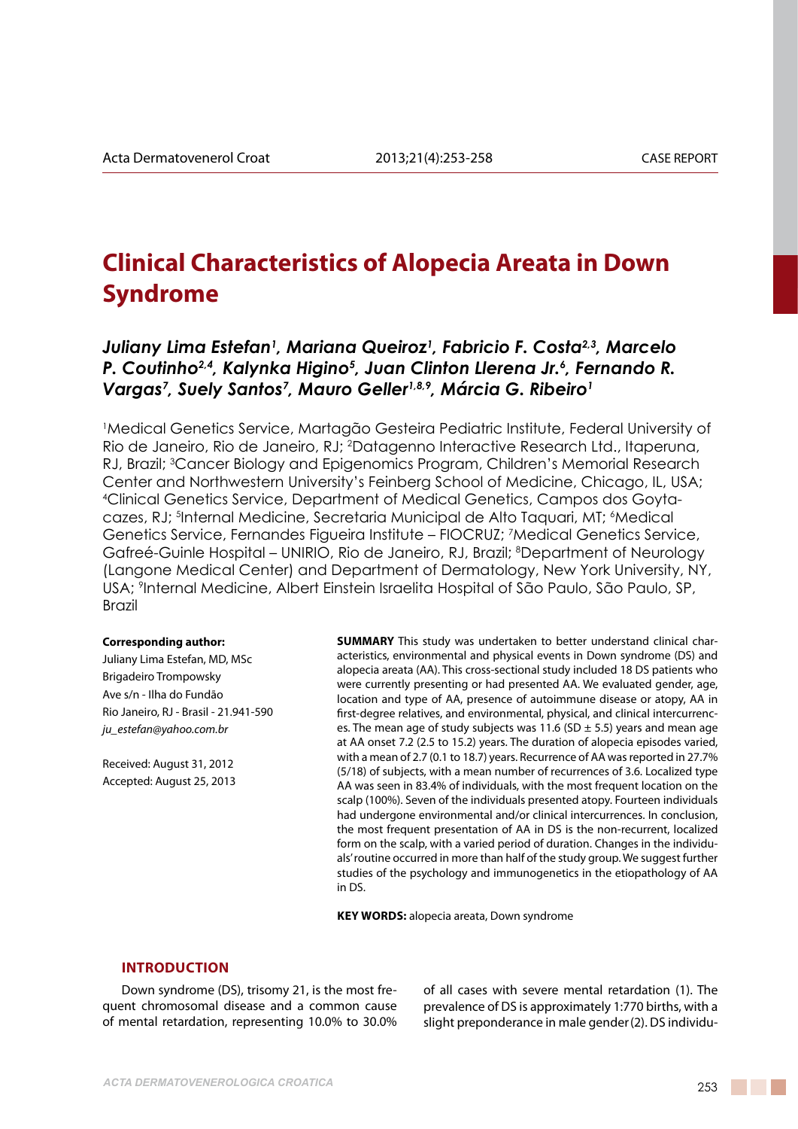# **Clinical Characteristics of Alopecia Areata in Down Syndrome**

# Juliany Lima Estefan<sup>1</sup>, Mariana Queiroz<sup>1</sup>, Fabricio F. Costa<sup>2,3</sup>, Marcelo *P. Coutinho2,4, Kalynka Higino5 , Juan Clinton Llerena Jr.6 , Fernando R.*  Vargas<sup>7</sup>, Suely Santos<sup>7</sup>, Mauro Geller<sup>1,8,9</sup>, Márcia G. Ribeiro<sup>1</sup>

1 Medical Genetics Service, Martagão Gesteira Pediatric Institute, Federal University of Rio de Janeiro, Rio de Janeiro, RJ; 2 Datagenno Interactive Research Ltd., Itaperuna, RJ, Brazil; 3 Cancer Biology and Epigenomics Program, Children's Memorial Research Center and Northwestern University's Feinberg School of Medicine, Chicago, IL, USA; 4 Clinical Genetics Service, Department of Medical Genetics, Campos dos Goytacazes, RJ; <sup>5</sup>Internal Medicine, Secretaria Municipal de Alto Taquari, MT; <sup>6</sup>Medical Genetics Service, Fernandes Figueira Institute – FIOCRUZ; 7 Medical Genetics Service, Gafreé-Guinle Hospital – UNIRIO, Rio de Janeiro, RJ, Brazil; <sup>8</sup>Department of Neurology (Langone Medical Center) and Department of Dermatology, New York University, NY, USA; 9 Internal Medicine, Albert Einstein Israelita Hospital of São Paulo, São Paulo, SP, Brazil

#### **Corresponding author:**

Juliany Lima Estefan, MD, MSc Brigadeiro Trompowsky Ave s/n - Ilha do Fundão Rio Janeiro, RJ - Brasil - 21.941-590 *ju\_estefan@yahoo.com.br* 

Received: August 31, 2012 Accepted: August 25, 2013

**SUMMARY** This study was undertaken to better understand clinical characteristics, environmental and physical events in Down syndrome (DS) and alopecia areata (AA). This cross-sectional study included 18 DS patients who were currently presenting or had presented AA. We evaluated gender, age, location and type of AA, presence of autoimmune disease or atopy, AA in first-degree relatives, and environmental, physical, and clinical intercurrences. The mean age of study subjects was 11.6 (SD  $\pm$  5.5) years and mean age at AA onset 7.2 (2.5 to 15.2) years. The duration of alopecia episodes varied, with a mean of 2.7 (0.1 to 18.7) years. Recurrence of AA was reported in 27.7% (5/18) of subjects, with a mean number of recurrences of 3.6. Localized type AA was seen in 83.4% of individuals, with the most frequent location on the scalp (100%). Seven of the individuals presented atopy. Fourteen individuals had undergone environmental and/or clinical intercurrences. In conclusion, the most frequent presentation of AA in DS is the non-recurrent, localized form on the scalp, with a varied period of duration. Changes in the individuals' routine occurred in more than half of the study group. We suggest further studies of the psychology and immunogenetics in the etiopathology of AA in DS.

**KEY WORDS:** alopecia areata, Down syndrome

#### **Introduction**

Down syndrome (DS), trisomy 21, is the most frequent chromosomal disease and a common cause of mental retardation, representing 10.0% to 30.0% of all cases with severe mental retardation (1). The prevalence of DS is approximately 1:770 births, with a slight preponderance in male gender(2). DS individu-

a katika Ma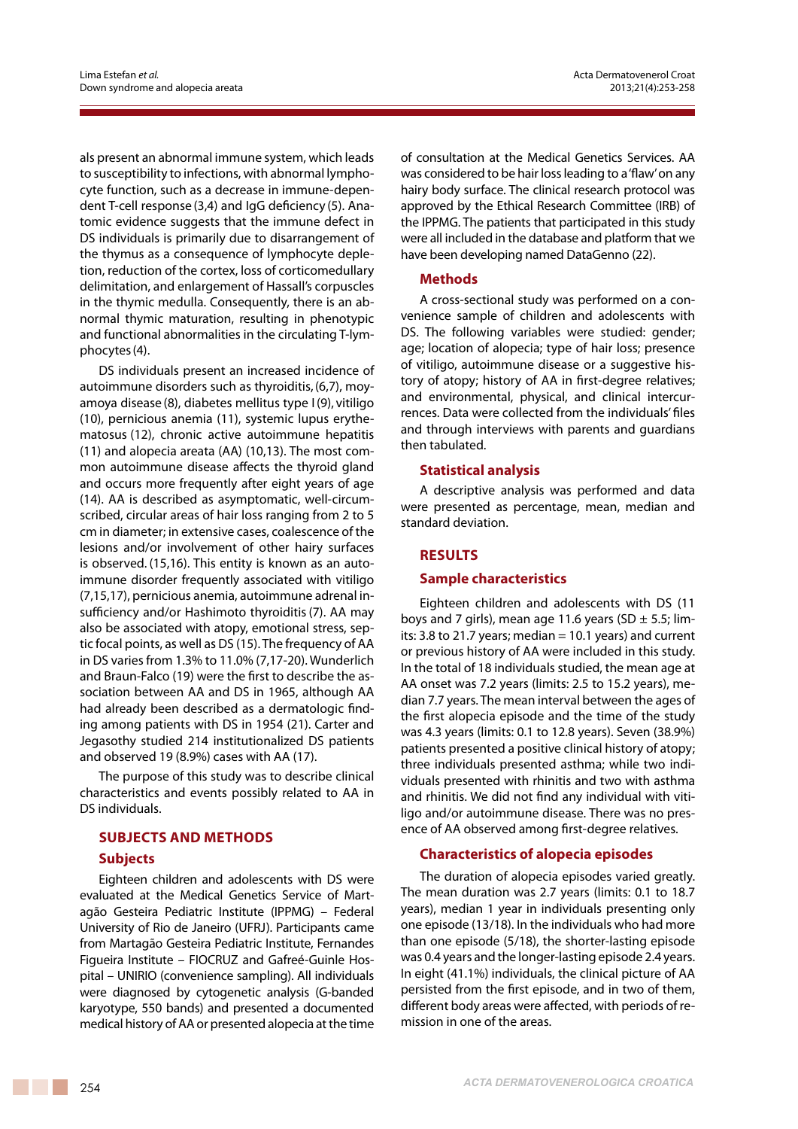als present an abnormal immune system, which leads to susceptibility to infections, with abnormal lymphocyte function, such as a decrease in immune-dependent T-cell response (3,4) and IgG deficiency (5). Anatomic evidence suggests that the immune defect in DS individuals is primarily due to disarrangement of the thymus as a consequence of lymphocyte depletion, reduction of the cortex, loss of corticomedullary delimitation, and enlargement of Hassall's corpuscles in the thymic medulla. Consequently, there is an abnormal thymic maturation, resulting in phenotypic and functional abnormalities in the circulating T-lymphocytes(4).

DS individuals present an increased incidence of autoimmune disorders such as thyroiditis,(6,7), moyamoya disease (8), diabetes mellitus type I (9), vitiligo (10), pernicious anemia (11), systemic lupus erythematosus (12), chronic active autoimmune hepatitis (11) and alopecia areata (AA) (10,13). The most common autoimmune disease affects the thyroid gland and occurs more frequently after eight years of age (14). AA is described as asymptomatic, well-circumscribed, circular areas of hair loss ranging from 2 to 5 cm in diameter; in extensive cases, coalescence of the lesions and/or involvement of other hairy surfaces is observed. (15,16). This entity is known as an autoimmune disorder frequently associated with vitiligo (7,15,17), pernicious anemia, autoimmune adrenal insufficiency and/or Hashimoto thyroiditis(7). AA may also be associated with atopy, emotional stress, septic focal points, as well as DS (15). The frequency of AA in DS varies from 1.3% to 11.0% (7,17-20). Wunderlich and Braun-Falco (19) were the first to describe the association between AA and DS in 1965, although AA had already been described as a dermatologic finding among patients with DS in 1954 (21). Carter and Jegasothy studied 214 institutionalized DS patients and observed 19 (8.9%) cases with AA (17).

The purpose of this study was to describe clinical characteristics and events possibly related to AA in DS individuals.

# **SUBJECTS and methods**

#### **Subjects**

Eighteen children and adolescents with DS were evaluated at the Medical Genetics Service of Martagão Gesteira Pediatric Institute (IPPMG) – Federal University of Rio de Janeiro (UFRJ). Participants came from Martagão Gesteira Pediatric Institute, Fernandes Figueira Institute – FIOCRUZ and Gafreé-Guinle Hospital – UNIRIO (convenience sampling). All individuals were diagnosed by cytogenetic analysis (G-banded karyotype, 550 bands) and presented a documented medical history of AA or presented alopecia at the time

of consultation at the Medical Genetics Services. AA was considered to be hair loss leading to a 'flaw' on any hairy body surface. The clinical research protocol was approved by the Ethical Research Committee (IRB) of the IPPMG. The patients that participated in this study were all included in the database and platform that we have been developing named DataGenno (22).

#### **Methods**

A cross-sectional study was performed on a convenience sample of children and adolescents with DS. The following variables were studied: gender; age; location of alopecia; type of hair loss; presence of vitiligo, autoimmune disease or a suggestive history of atopy; history of AA in first-degree relatives; and environmental, physical, and clinical intercurrences. Data were collected from the individuals' files and through interviews with parents and guardians then tabulated.

#### **Statistical analysis**

A descriptive analysis was performed and data were presented as percentage, mean, median and standard deviation.

# **Results**

#### **Sample characteristics**

Eighteen children and adolescents with DS (11 boys and 7 girls), mean age 11.6 years (SD  $\pm$  5.5; limits: 3.8 to 21.7 years; median  $= 10.1$  years) and current or previous history of AA were included in this study. In the total of 18 individuals studied, the mean age at AA onset was 7.2 years (limits: 2.5 to 15.2 years), median 7.7 years. The mean interval between the ages of the first alopecia episode and the time of the study was 4.3 years (limits: 0.1 to 12.8 years). Seven (38.9%) patients presented a positive clinical history of atopy; three individuals presented asthma; while two individuals presented with rhinitis and two with asthma and rhinitis. We did not find any individual with vitiligo and/or autoimmune disease. There was no presence of AA observed among first-degree relatives.

#### **Characteristics of alopecia episodes**

The duration of alopecia episodes varied greatly. The mean duration was 2.7 years (limits: 0.1 to 18.7 years), median 1 year in individuals presenting only one episode (13/18). In the individuals who had more than one episode (5/18), the shorter-lasting episode was 0.4 years and the longer-lasting episode 2.4 years. In eight (41.1%) individuals, the clinical picture of AA persisted from the first episode, and in two of them, different body areas were affected, with periods of remission in one of the areas.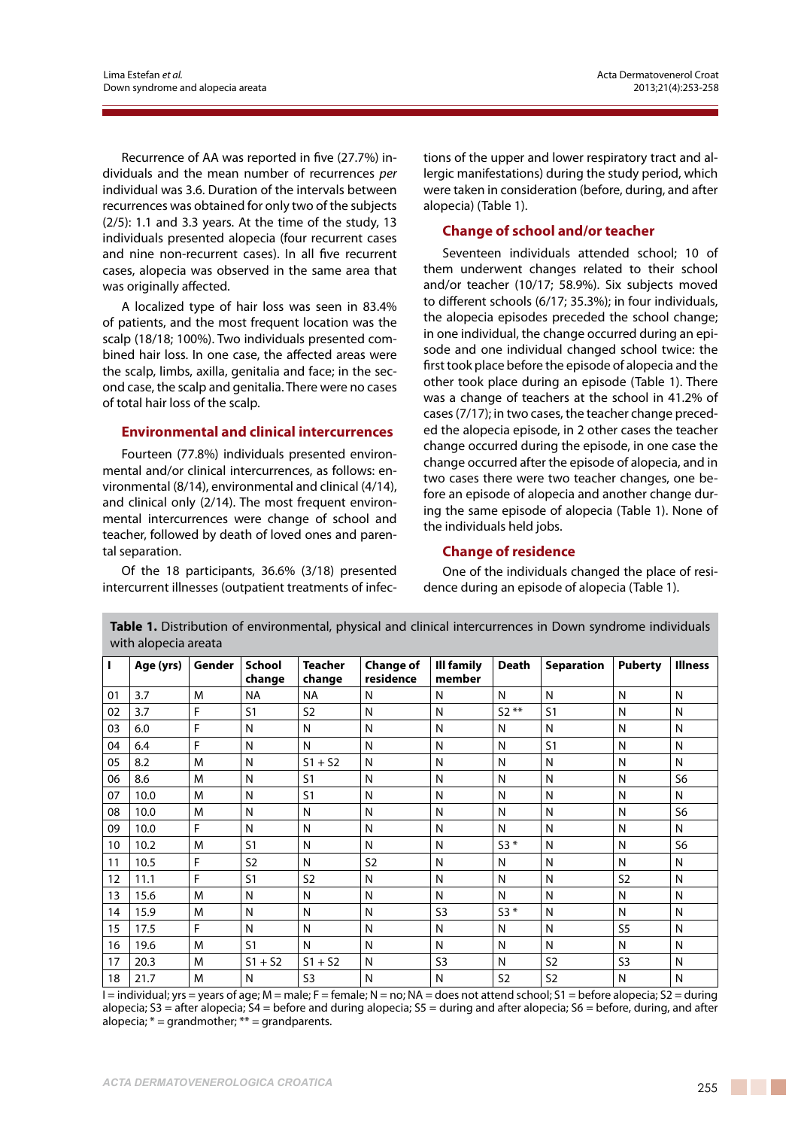Recurrence of AA was reported in five (27.7%) individuals and the mean number of recurrences *per* individual was 3.6. Duration of the intervals between recurrences was obtained for only two of the subjects (2/5): 1.1 and 3.3 years. At the time of the study, 13 individuals presented alopecia (four recurrent cases and nine non-recurrent cases). In all five recurrent cases, alopecia was observed in the same area that was originally affected.

A localized type of hair loss was seen in 83.4% of patients, and the most frequent location was the scalp (18/18; 100%). Two individuals presented combined hair loss. In one case, the affected areas were the scalp, limbs, axilla, genitalia and face; in the second case, the scalp and genitalia. There were no cases of total hair loss of the scalp.

#### **Environmental and clinical intercurrences**

Fourteen (77.8%) individuals presented environmental and/or clinical intercurrences, as follows: environmental (8/14), environmental and clinical (4/14), and clinical only (2/14). The most frequent environmental intercurrences were change of school and teacher, followed by death of loved ones and parental separation.

Of the 18 participants, 36.6% (3/18) presented intercurrent illnesses (outpatient treatments of infections of the upper and lower respiratory tract and allergic manifestations) during the study period, which were taken in consideration (before, during, and after alopecia) (Table 1).

# **Change of school and/or teacher**

Seventeen individuals attended school; 10 of them underwent changes related to their school and/or teacher (10/17; 58.9%). Six subjects moved to different schools (6/17; 35.3%); in four individuals, the alopecia episodes preceded the school change; in one individual, the change occurred during an episode and one individual changed school twice: the first took place before the episode of alopecia and the other took place during an episode (Table 1). There was a change of teachers at the school in 41.2% of cases (7/17); in two cases, the teacher change preceded the alopecia episode, in 2 other cases the teacher change occurred during the episode, in one case the change occurred after the episode of alopecia, and in two cases there were two teacher changes, one before an episode of alopecia and another change during the same episode of alopecia (Table 1). None of the individuals held jobs.

# **Change of residence**

One of the individuals changed the place of residence during an episode of alopecia (Table 1).

| .  |           |        |                |                |                  |                |                |                   |                |                |
|----|-----------|--------|----------------|----------------|------------------|----------------|----------------|-------------------|----------------|----------------|
| L  | Age (yrs) | Gender | School         | <b>Teacher</b> | <b>Change of</b> | Ill family     | <b>Death</b>   | <b>Separation</b> | <b>Puberty</b> | <b>Illness</b> |
|    |           |        | change         | change         | residence        | member         |                |                   |                |                |
| 01 | 3.7       | M      | <b>NA</b>      | <b>NA</b>      | N                | N              | N              | N                 | N              | N              |
| 02 | 3.7       | F      | S <sub>1</sub> | S <sub>2</sub> | N                | N              | $52***$        | S <sub>1</sub>    | N              | N              |
| 03 | 6.0       | F      | N              | N              | N                | N              | N              | N                 | N              | N              |
| 04 | 6.4       | F      | N              | N              | N                | N              | N              | S <sub>1</sub>    | N              | N              |
| 05 | 8.2       | M      | N              | $S1 + S2$      | N                | N              | N              | N                 | N              | N              |
| 06 | 8.6       | M      | N              | S <sub>1</sub> | N                | N              | N              | N                 | N              | S <sub>6</sub> |
| 07 | 10.0      | M      | N              | S <sub>1</sub> | N                | N              | N              | N                 | N              | N              |
| 08 | 10.0      | M      | N              | N              | N                | N              | N              | N                 | N              | S <sub>6</sub> |
| 09 | 10.0      | F      | N              | N              | N                | N              | N              | N                 | N              | N              |
| 10 | 10.2      | M      | S <sub>1</sub> | N              | N                | N              | $53*$          | N                 | N              | S <sub>6</sub> |
| 11 | 10.5      | F      | S <sub>2</sub> | N              | S <sub>2</sub>   | N              | N              | N                 | N              | N              |
| 12 | 11.1      | F      | S <sub>1</sub> | S <sub>2</sub> | N                | N              | N              | N                 | S <sub>2</sub> | N              |
| 13 | 15.6      | M      | N              | N              | N                | N              | N              | N                 | N              | N              |
| 14 | 15.9      | M      | N              | N              | N                | S <sub>3</sub> | $S3*$          | N                 | N              | N              |
| 15 | 17.5      | F      | N              | N              | N                | N              | N              | N                 | S <sub>5</sub> | N              |
| 16 | 19.6      | M      | S <sub>1</sub> | N              | N                | N              | N              | N                 | N              | N              |
| 17 | 20.3      | M      | $S1 + S2$      | $S1 + S2$      | N                | S <sub>3</sub> | N              | S <sub>2</sub>    | S <sub>3</sub> | N              |
| 18 | 21.7      | M      | N              | S <sub>3</sub> | N                | N              | S <sub>2</sub> | S <sub>2</sub>    | N              | N              |

**Table 1.** Distribution of environmental, physical and clinical intercurrences in Down syndrome individuals with alopecia areata

I = individual; yrs = years of age; M = male; F = female; N = no; NA = does not attend school; S1 = before alopecia; S2 = during alopecia; S3 = after alopecia; S4 = before and during alopecia; S5 = during and after alopecia; S6 = before, during, and after alopecia;  $* =$  grandmother;  $** =$  grandparents.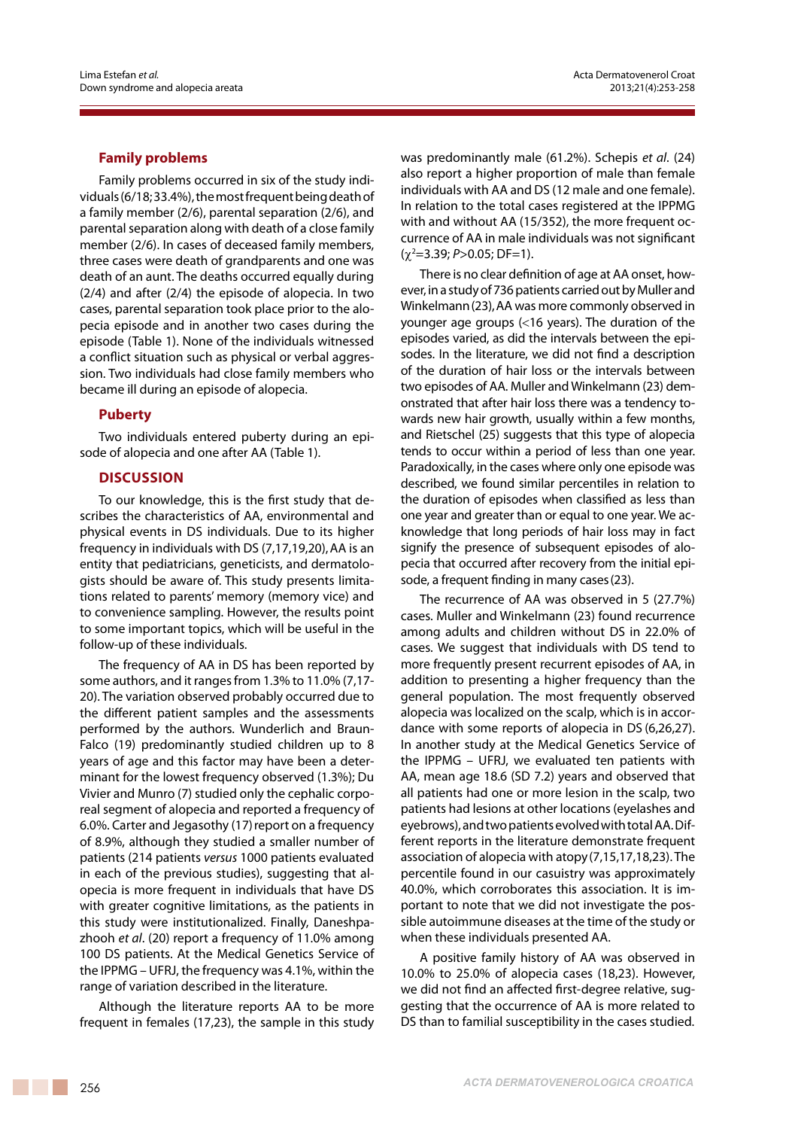# **Family problems**

Family problems occurred in six of the study individuals (6/18; 33.4%), the most frequent being death of a family member (2/6), parental separation (2/6), and parental separation along with death of a close family member (2/6). In cases of deceased family members, three cases were death of grandparents and one was death of an aunt. The deaths occurred equally during (2/4) and after (2/4) the episode of alopecia. In two cases, parental separation took place prior to the alopecia episode and in another two cases during the episode (Table 1). None of the individuals witnessed a conflict situation such as physical or verbal aggression. Two individuals had close family members who became ill during an episode of alopecia.

# **Puberty**

Two individuals entered puberty during an episode of alopecia and one after AA (Table 1).

# **Discussion**

To our knowledge, this is the first study that describes the characteristics of AA, environmental and physical events in DS individuals. Due to its higher frequency in individuals with DS (7,17,19,20), AA is an entity that pediatricians, geneticists, and dermatologists should be aware of. This study presents limitations related to parents' memory (memory vice) and to convenience sampling. However, the results point to some important topics, which will be useful in the follow-up of these individuals.

The frequency of AA in DS has been reported by some authors, and it ranges from 1.3% to 11.0% (7,17- 20). The variation observed probably occurred due to the different patient samples and the assessments performed by the authors. Wunderlich and Braun-Falco (19) predominantly studied children up to 8 years of age and this factor may have been a determinant for the lowest frequency observed (1.3%); Du Vivier and Munro (7) studied only the cephalic corporeal segment of alopecia and reported a frequency of 6.0%. Carter and Jegasothy (17)report on a frequency of 8.9%, although they studied a smaller number of patients (214 patients *versus* 1000 patients evaluated in each of the previous studies), suggesting that alopecia is more frequent in individuals that have DS with greater cognitive limitations, as the patients in this study were institutionalized. Finally, Daneshpazhooh *et al*. (20) report a frequency of 11.0% among 100 DS patients. At the Medical Genetics Service of the IPPMG – UFRJ, the frequency was 4.1%, within the range of variation described in the literature.

Although the literature reports AA to be more frequent in females (17,23), the sample in this study was predominantly male (61.2%). Schepis *et al*. (24) also report a higher proportion of male than female individuals with AA and DS (12 male and one female). In relation to the total cases registered at the IPPMG with and without AA (15/352), the more frequent occurrence of AA in male individuals was not significant (χ<sup>2</sup> =3.39; *P*>0.05; DF=1).

There is no clear definition of age at AA onset, however, in a study of 736 patients carried out by Muller and Winkelmann(23),AA was more commonly observed in younger age groups (<16 years). The duration of the episodes varied, as did the intervals between the episodes. In the literature, we did not find a description of the duration of hair loss or the intervals between two episodes of AA. Muller and Winkelmann (23) demonstrated that after hair loss there was a tendency towards new hair growth, usually within a few months, and Rietschel (25) suggests that this type of alopecia tends to occur within a period of less than one year. Paradoxically, in the cases where only one episode was described, we found similar percentiles in relation to the duration of episodes when classified as less than one year and greater than or equal to one year. We acknowledge that long periods of hair loss may in fact signify the presence of subsequent episodes of alopecia that occurred after recovery from the initial episode, a frequent finding in many cases(23).

The recurrence of AA was observed in 5 (27.7%) cases. Muller and Winkelmann (23) found recurrence among adults and children without DS in 22.0% of cases. We suggest that individuals with DS tend to more frequently present recurrent episodes of AA, in addition to presenting a higher frequency than the general population. The most frequently observed alopecia was localized on the scalp, which is in accordance with some reports of alopecia in DS (6,26,27). In another study at the Medical Genetics Service of the IPPMG – UFRJ, we evaluated ten patients with AA, mean age 18.6 (SD 7.2) years and observed that all patients had one or more lesion in the scalp, two patients had lesions at other locations (eyelashes and eyebrows), and two patients evolved with total AA. Different reports in the literature demonstrate frequent association of alopecia with atopy(7,15,17,18,23). The percentile found in our casuistry was approximately 40.0%, which corroborates this association. It is important to note that we did not investigate the possible autoimmune diseases at the time of the study or when these individuals presented AA.

A positive family history of AA was observed in 10.0% to 25.0% of alopecia cases (18,23). However, we did not find an affected first-degree relative, suggesting that the occurrence of AA is more related to DS than to familial susceptibility in the cases studied.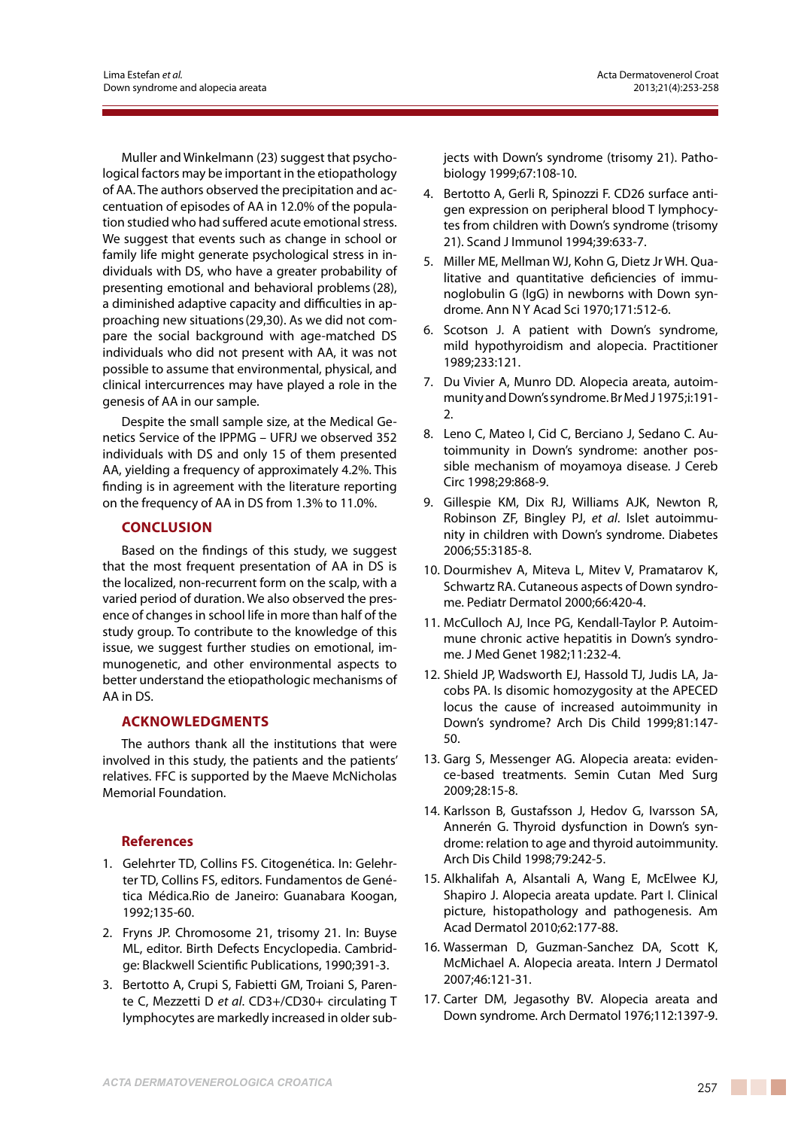Muller and Winkelmann (23) suggest that psychological factors may be important in the etiopathology of AA. The authors observed the precipitation and accentuation of episodes of AA in 12.0% of the population studied who had suffered acute emotional stress. We suggest that events such as change in school or family life might generate psychological stress in individuals with DS, who have a greater probability of presenting emotional and behavioral problems(28), a diminished adaptive capacity and difficulties in approaching new situations(29,30). As we did not compare the social background with age-matched DS individuals who did not present with AA, it was not possible to assume that environmental, physical, and clinical intercurrences may have played a role in the genesis of AA in our sample.

Despite the small sample size, at the Medical Genetics Service of the IPPMG – UFRJ we observed 352 individuals with DS and only 15 of them presented AA, yielding a frequency of approximately 4.2%. This finding is in agreement with the literature reporting on the frequency of AA in DS from 1.3% to 11.0%.

# **CONCLUSION**

Based on the findings of this study, we suggest that the most frequent presentation of AA in DS is the localized, non-recurrent form on the scalp, with a varied period of duration. We also observed the presence of changes in school life in more than half of the study group. To contribute to the knowledge of this issue, we suggest further studies on emotional, immunogenetic, and other environmental aspects to better understand the etiopathologic mechanisms of AA in DS.

# **Acknowledgments**

The authors thank all the institutions that were involved in this study, the patients and the patients' relatives. FFC is supported by the Maeve McNicholas Memorial Foundation.

# **References**

- 1. Gelehrter TD, Collins FS. Citogenética. In: Gelehrter TD, Collins FS, editors. Fundamentos de Genética Médica.Rio de Janeiro: Guanabara Koogan, 1992;135-60.
- 2. Fryns JP. Chromosome 21, trisomy 21. In: Buyse ML, editor. Birth Defects Encyclopedia. Cambridge: Blackwell Scientific Publications, 1990;391-3.
- 3. Bertotto A, Crupi S, Fabietti GM, Troiani S, Parente C, Mezzetti D *et al*. CD3+/CD30+ circulating T lymphocytes are markedly increased in older sub-

jects with Down's syndrome (trisomy 21). Pathobiology 1999;67:108-10.

- 4. Bertotto A, Gerli R, Spinozzi F. CD26 surface antigen expression on peripheral blood T lymphocytes from children with Down's syndrome (trisomy 21). Scand J Immunol 1994;39:633-7.
- 5. Miller ME, Mellman WJ, Kohn G, Dietz Jr WH. Qualitative and quantitative deficiencies of immunoglobulin G (IgG) in newborns with Down syndrome. Ann N Y Acad Sci 1970;171:512-6.
- 6. Scotson J. A patient with Down's syndrome, mild hypothyroidism and alopecia. Practitioner 1989;233:121.
- 7. Du Vivier A, Munro DD. Alopecia areata, autoimmunity and Down's syndrome. Br Med J 1975;i:191- 2.
- 8. Leno C, Mateo I, Cid C, Berciano J, Sedano C. Autoimmunity in Down's syndrome: another possible mechanism of moyamoya disease. J Cereb Circ 1998;29:868-9.
- 9. Gillespie KM, Dix RJ, Williams AJK, Newton R, Robinson ZF, Bingley PJ, *et al*. Islet autoimmunity in children with Down's syndrome. Diabetes 2006;55:3185-8.
- 10. Dourmishev A, Miteva L, Mitev V, Pramatarov K, Schwartz RA. Cutaneous aspects of Down syndrome. Pediatr Dermatol 2000;66:420-4.
- 11. McCulloch AJ, Ince PG, Kendall-Taylor P. Autoimmune chronic active hepatitis in Down's syndrome. J Med Genet 1982;11:232-4.
- 12. Shield JP, Wadsworth EJ, Hassold TJ, Judis LA, Jacobs PA. Is disomic homozygosity at the APECED locus the cause of increased autoimmunity in Down's syndrome? Arch Dis Child 1999;81:147- 50.
- 13. Garg S, Messenger AG. Alopecia areata: evidence-based treatments. Semin Cutan Med Surg 2009;28:15-8.
- 14. Karlsson B, Gustafsson J, Hedov G, Ivarsson SA, Annerén G. Thyroid dysfunction in Down's syndrome: relation to age and thyroid autoimmunity. Arch Dis Child 1998;79:242-5.
- 15. Alkhalifah A, Alsantali A, Wang E, McElwee KJ, Shapiro J. Alopecia areata update. Part I. Clinical picture, histopathology and pathogenesis. Am Acad Dermatol 2010;62:177-88.
- 16. Wasserman D, Guzman-Sanchez DA, Scott K, McMichael A. Alopecia areata. Intern J Dermatol 2007;46:121-31.
- 17. Carter DM, Jegasothy BV. Alopecia areata and Down syndrome. Arch Dermatol 1976;112:1397-9.

<u> Timbul Sa</u>